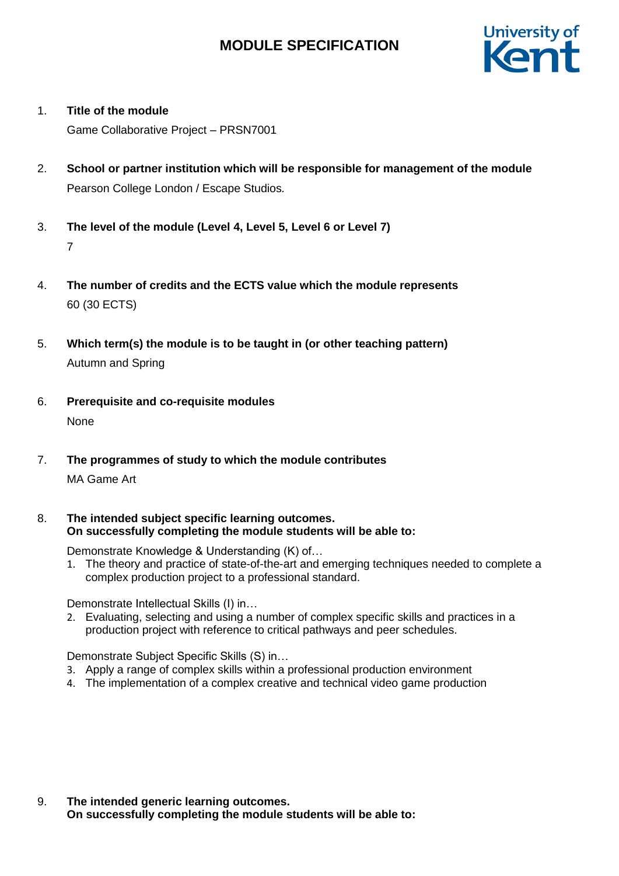

1. **Title of the module**

Game Collaborative Project – PRSN7001

- 2. **School or partner institution which will be responsible for management of the module** Pearson College London / Escape Studios*.*
- 3. **The level of the module (Level 4, Level 5, Level 6 or Level 7)** 7
- 4. **The number of credits and the ECTS value which the module represents**  60 (30 ECTS)
- 5. **Which term(s) the module is to be taught in (or other teaching pattern)** Autumn and Spring
- 6. **Prerequisite and co-requisite modules** None
- 7. **The programmes of study to which the module contributes**

MA Game Art

8. **The intended subject specific learning outcomes. On successfully completing the module students will be able to:**

Demonstrate Knowledge & Understanding (K) of…

1. The theory and practice of state-of-the-art and emerging techniques needed to complete a complex production project to a professional standard.

Demonstrate Intellectual Skills (I) in…

2. Evaluating, selecting and using a number of complex specific skills and practices in a production project with reference to critical pathways and peer schedules.

Demonstrate Subject Specific Skills (S) in…

- 3. Apply a range of complex skills within a professional production environment
- 4. The implementation of a complex creative and technical video game production

9. **The intended generic learning outcomes. On successfully completing the module students will be able to:**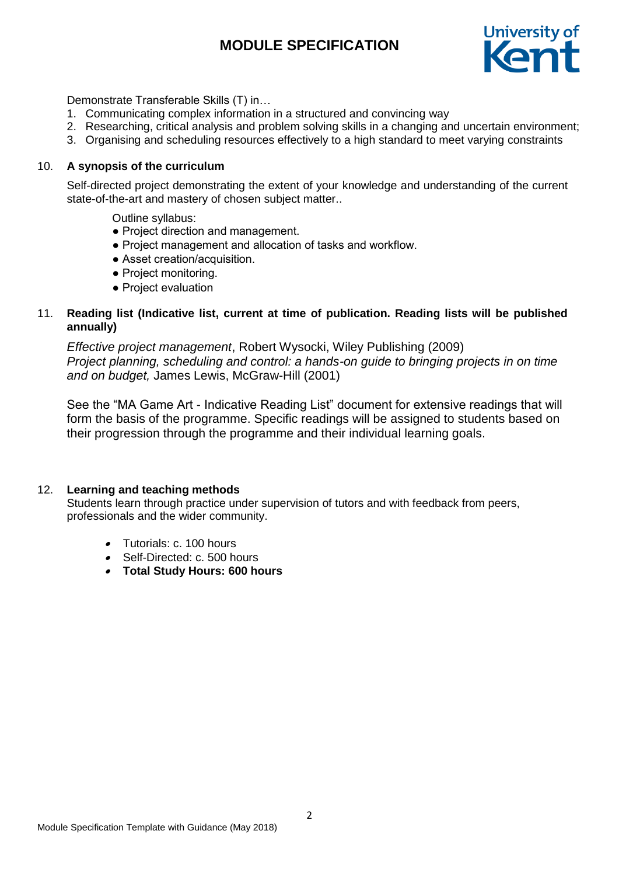

Demonstrate Transferable Skills (T) in…

- 1. Communicating complex information in a structured and convincing way
- 2. Researching, critical analysis and problem solving skills in a changing and uncertain environment;
- 3. Organising and scheduling resources effectively to a high standard to meet varying constraints

#### 10. **A synopsis of the curriculum**

Self-directed project demonstrating the extent of your knowledge and understanding of the current state-of-the-art and mastery of chosen subject matter..

Outline syllabus:

- Project direction and management.
- Project management and allocation of tasks and workflow.
- Asset creation/acquisition.
- Project monitoring.
- Project evaluation
- 11. **Reading list (Indicative list, current at time of publication. Reading lists will be published annually)**

*Effective project management*, Robert Wysocki, Wiley Publishing (2009) *Project planning, scheduling and control: a hands-on guide to bringing projects in on time and on budget,* James Lewis, McGraw-Hill (2001)

See the "MA Game Art - Indicative Reading List" document for extensive readings that will form the basis of the programme. Specific readings will be assigned to students based on their progression through the programme and their individual learning goals.

## 12. **Learning and teaching methods**

Students learn through practice under supervision of tutors and with feedback from peers, professionals and the wider community.

- . Tutorials: c. 100 hours
- Self-Directed: c. 500 hours
- **Total Study Hours: 600 hours**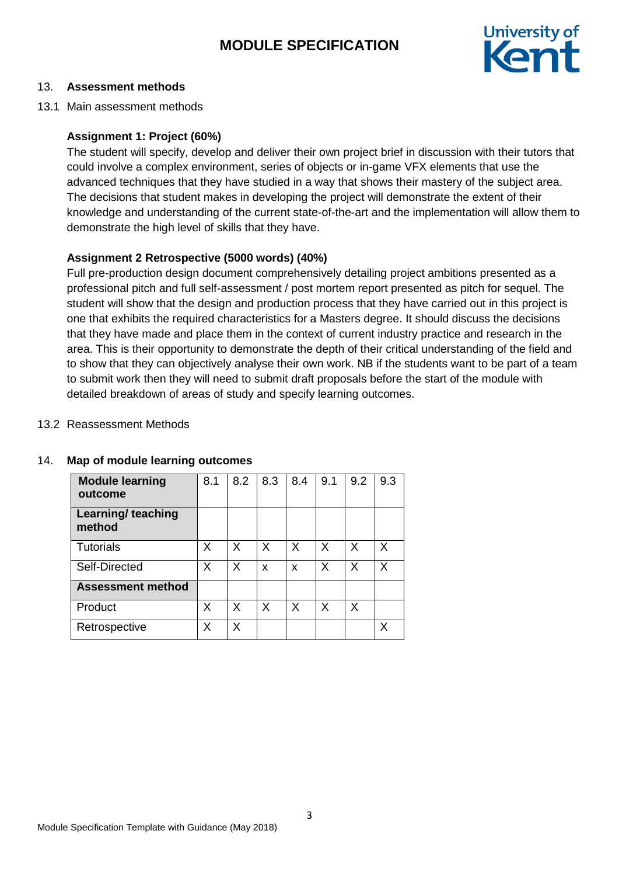

#### 13. **Assessment methods**

13.1 Main assessment methods

## **Assignment 1: Project (60%)**

The student will specify, develop and deliver their own project brief in discussion with their tutors that could involve a complex environment, series of objects or in-game VFX elements that use the advanced techniques that they have studied in a way that shows their mastery of the subject area. The decisions that student makes in developing the project will demonstrate the extent of their knowledge and understanding of the current state-of-the-art and the implementation will allow them to demonstrate the high level of skills that they have.

## **Assignment 2 Retrospective (5000 words) (40%)**

Full pre-production design document comprehensively detailing project ambitions presented as a professional pitch and full self-assessment / post mortem report presented as pitch for sequel. The student will show that the design and production process that they have carried out in this project is one that exhibits the required characteristics for a Masters degree. It should discuss the decisions that they have made and place them in the context of current industry practice and research in the area. This is their opportunity to demonstrate the depth of their critical understanding of the field and to show that they can objectively analyse their own work. NB if the students want to be part of a team to submit work then they will need to submit draft proposals before the start of the module with detailed breakdown of areas of study and specify learning outcomes.

## 13.2 Reassessment Methods

| <b>Module learning</b><br>outcome | 8.1 | 8.2 | 8.3 | 8.4 | 9.1 | 9.2 | 9.3 |
|-----------------------------------|-----|-----|-----|-----|-----|-----|-----|
| Learning/ teaching<br>method      |     |     |     |     |     |     |     |
| <b>Tutorials</b>                  | Х   | X   | X   | X   | X   | X   | X   |
| Self-Directed                     | X   | X   | X   | X   | X   | X   | X   |
| <b>Assessment method</b>          |     |     |     |     |     |     |     |
| Product                           | X   | X   | X   | X   | X   | X   |     |
| Retrospective                     | Χ   |     |     |     |     |     | Χ   |

## 14. **Map of module learning outcomes**